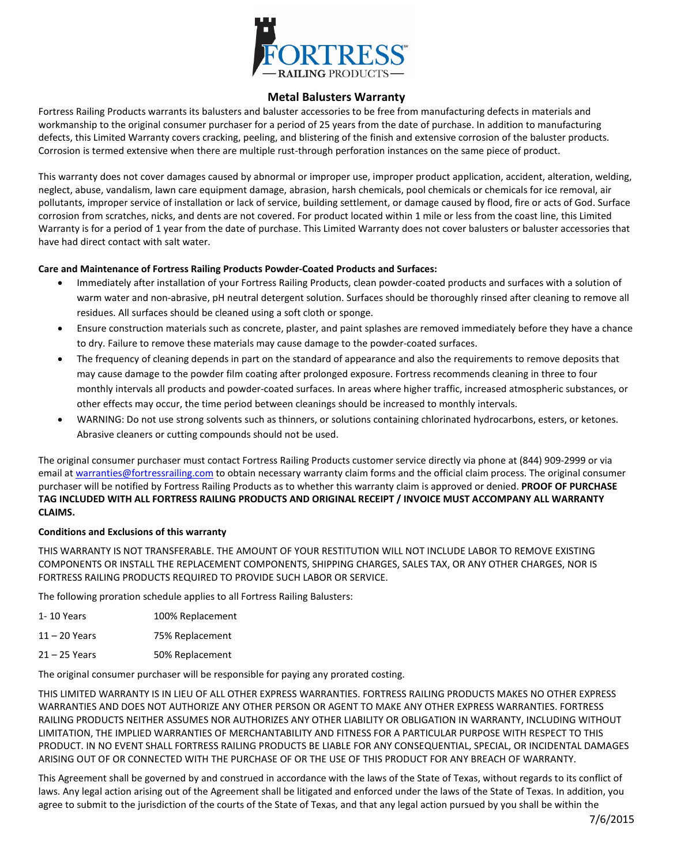

## **Metal Balusters Warranty**

Fortress Railing Products warrants its balusters and baluster accessories to be free from manufacturing defects in materials and workmanship to the original consumer purchaser for a period of 25 years from the date of purchase. In addition to manufacturing defects, this Limited Warranty covers cracking, peeling, and blistering of the finish and extensive corrosion of the baluster products. Corrosion is termed extensive when there are multiple rust-through perforation instances on the same piece of product.

This warranty does not cover damages caused by abnormal or improper use, improper product application, accident, alteration, welding, neglect, abuse, vandalism, lawn care equipment damage, abrasion, harsh chemicals, pool chemicals or chemicals for ice removal, air pollutants, improper service of installation or lack of service, building settlement, or damage caused by flood, fire or acts of God. Surface corrosion from scratches, nicks, and dents are not covered. For product located within 1 mile or less from the coast line, this Limited Warranty is for a period of 1 year from the date of purchase. This Limited Warranty does not cover balusters or baluster accessories that have had direct contact with salt water.

## **Care and Maintenance of Fortress Railing Products Powder-Coated Products and Surfaces:**

- Immediately after installation of your Fortress Railing Products, clean powder-coated products and surfaces with a solution of warm water and non-abrasive, pH neutral detergent solution. Surfaces should be thoroughly rinsed after cleaning to remove all residues. All surfaces should be cleaned using a soft cloth or sponge.
- Ensure construction materials such as concrete, plaster, and paint splashes are removed immediately before they have a chance to dry. Failure to remove these materials may cause damage to the powder-coated surfaces.
- The frequency of cleaning depends in part on the standard of appearance and also the requirements to remove deposits that may cause damage to the powder film coating after prolonged exposure. Fortress recommends cleaning in three to four monthly intervals all products and powder-coated surfaces. In areas where higher traffic, increased atmospheric substances, or other effects may occur, the time period between cleanings should be increased to monthly intervals.
- WARNING: Do not use strong solvents such as thinners, or solutions containing chlorinated hydrocarbons, esters, or ketones. Abrasive cleaners or cutting compounds should not be used.

The original consumer purchaser must contact Fortress Railing Products customer service directly via phone at (844) 909-2999 or via email at [warranties@fortressrailing.com](mailto:warranties@fortressrailing.com) to obtain necessary warranty claim forms and the official claim process. The original consumer purchaser will be notified by Fortress Railing Products as to whether this warranty claim is approved or denied. **PROOF OF PURCHASE TAG INCLUDED WITH ALL FORTRESS RAILING PRODUCTS AND ORIGINAL RECEIPT / INVOICE MUST ACCOMPANY ALL WARRANTY CLAIMS.**

## **Conditions and Exclusions of this warranty**

THIS WARRANTY IS NOT TRANSFERABLE. THE AMOUNT OF YOUR RESTITUTION WILL NOT INCLUDE LABOR TO REMOVE EXISTING COMPONENTS OR INSTALL THE REPLACEMENT COMPONENTS, SHIPPING CHARGES, SALES TAX, OR ANY OTHER CHARGES, NOR IS FORTRESS RAILING PRODUCTS REQUIRED TO PROVIDE SUCH LABOR OR SERVICE.

The following proration schedule applies to all Fortress Railing Balusters:

| 1- 10 Years   | 100% Replacement |
|---------------|------------------|
| 11 – 20 Years | 75% Replacement  |
| 21 – 25 Years | 50% Replacement  |

The original consumer purchaser will be responsible for paying any prorated costing.

THIS LIMITED WARRANTY IS IN LIEU OF ALL OTHER EXPRESS WARRANTIES. FORTRESS RAILING PRODUCTS MAKES NO OTHER EXPRESS WARRANTIES AND DOES NOT AUTHORIZE ANY OTHER PERSON OR AGENT TO MAKE ANY OTHER EXPRESS WARRANTIES. FORTRESS RAILING PRODUCTS NEITHER ASSUMES NOR AUTHORIZES ANY OTHER LIABILITY OR OBLIGATION IN WARRANTY, INCLUDING WITHOUT LIMITATION, THE IMPLIED WARRANTIES OF MERCHANTABILITY AND FITNESS FOR A PARTICULAR PURPOSE WITH RESPECT TO THIS PRODUCT. IN NO EVENT SHALL FORTRESS RAILING PRODUCTS BE LIABLE FOR ANY CONSEQUENTIAL, SPECIAL, OR INCIDENTAL DAMAGES ARISING OUT OF OR CONNECTED WITH THE PURCHASE OF OR THE USE OF THIS PRODUCT FOR ANY BREACH OF WARRANTY.

This Agreement shall be governed by and construed in accordance with the laws of the State of Texas, without regards to its conflict of laws. Any legal action arising out of the Agreement shall be litigated and enforced under the laws of the State of Texas. In addition, you agree to submit to the jurisdiction of the courts of the State of Texas, and that any legal action pursued by you shall be within the